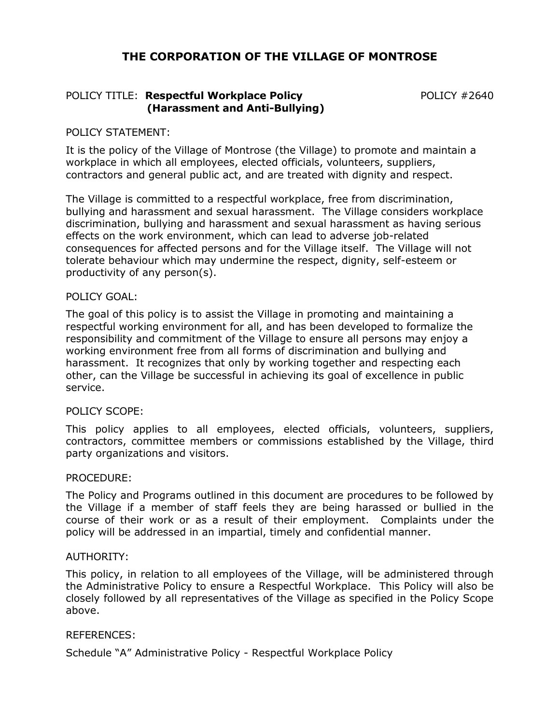# **THE CORPORATION OF THE VILLAGE OF MONTROSE**

## POLICY TITLE: **Respectful Workplace Policy POLICY #2640 (Harassment and Anti-Bullying)**

#### POLICY STATEMENT:

It is the policy of the Village of Montrose (the Village) to promote and maintain a workplace in which all employees, elected officials, volunteers, suppliers, contractors and general public act, and are treated with dignity and respect.

The Village is committed to a respectful workplace, free from discrimination, bullying and harassment and sexual harassment. The Village considers workplace discrimination, bullying and harassment and sexual harassment as having serious effects on the work environment, which can lead to adverse job-related consequences for affected persons and for the Village itself. The Village will not tolerate behaviour which may undermine the respect, dignity, self-esteem or productivity of any person(s).

#### POLICY GOAL:

The goal of this policy is to assist the Village in promoting and maintaining a respectful working environment for all, and has been developed to formalize the responsibility and commitment of the Village to ensure all persons may enjoy a working environment free from all forms of discrimination and bullying and harassment. It recognizes that only by working together and respecting each other, can the Village be successful in achieving its goal of excellence in public service.

#### POLICY SCOPE:

This policy applies to all employees, elected officials, volunteers, suppliers, contractors, committee members or commissions established by the Village, third party organizations and visitors.

#### PROCEDURE:

The Policy and Programs outlined in this document are procedures to be followed by the Village if a member of staff feels they are being harassed or bullied in the course of their work or as a result of their employment. Complaints under the policy will be addressed in an impartial, timely and confidential manner.

#### AUTHORITY:

This policy, in relation to all employees of the Village, will be administered through the Administrative Policy to ensure a Respectful Workplace. This Policy will also be closely followed by all representatives of the Village as specified in the Policy Scope above.

#### REFERENCES:

Schedule "A" Administrative Policy - Respectful Workplace Policy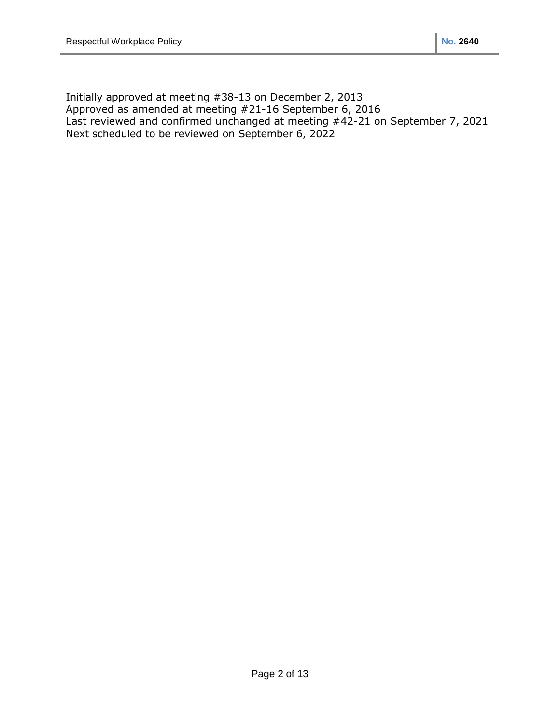Initially approved at meeting #38-13 on December 2, 2013 Approved as amended at meeting #21-16 September 6, 2016 Last reviewed and confirmed unchanged at meeting #42-21 on September 7, 2021 Next scheduled to be reviewed on September 6, 2022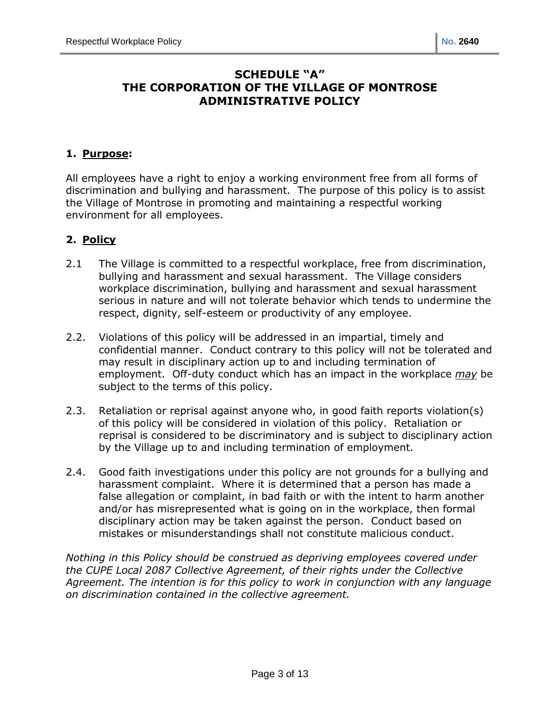# **SCHEDULE "A" THE CORPORATION OF THE VILLAGE OF MONTROSE ADMINISTRATIVE POLICY**

## **1. Purpose:**

All employees have a right to enjoy a working environment free from all forms of discrimination and bullying and harassment. The purpose of this policy is to assist the Village of Montrose in promoting and maintaining a respectful working environment for all employees.

# **2. Policy**

- 2.1 The Village is committed to a respectful workplace, free from discrimination, bullying and harassment and sexual harassment. The Village considers workplace discrimination, bullying and harassment and sexual harassment serious in nature and will not tolerate behavior which tends to undermine the respect, dignity, self-esteem or productivity of any employee.
- 2.2. Violations of this policy will be addressed in an impartial, timely and confidential manner. Conduct contrary to this policy will not be tolerated and may result in disciplinary action up to and including termination of employment. Off-duty conduct which has an impact in the workplace *may* be subject to the terms of this policy.
- 2.3. Retaliation or reprisal against anyone who, in good faith reports violation(s) of this policy will be considered in violation of this policy. Retaliation or reprisal is considered to be discriminatory and is subject to disciplinary action by the Village up to and including termination of employment.
- 2.4. Good faith investigations under this policy are not grounds for a bullying and harassment complaint. Where it is determined that a person has made a false allegation or complaint, in bad faith or with the intent to harm another and/or has misrepresented what is going on in the workplace, then formal disciplinary action may be taken against the person. Conduct based on mistakes or misunderstandings shall not constitute malicious conduct.

*Nothing in this Policy should be construed as depriving employees covered under the CUPE Local 2087 Collective Agreement, of their rights under the Collective Agreement. The intention is for this policy to work in conjunction with any language on discrimination contained in the collective agreement.*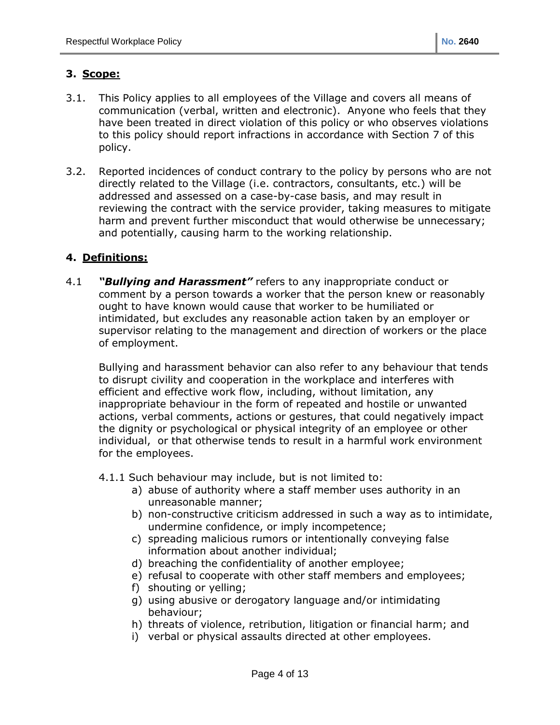# **3. Scope:**

- 3.1. This Policy applies to all employees of the Village and covers all means of communication (verbal, written and electronic). Anyone who feels that they have been treated in direct violation of this policy or who observes violations to this policy should report infractions in accordance with Section 7 of this policy.
- 3.2. Reported incidences of conduct contrary to the policy by persons who are not directly related to the Village (i.e. contractors, consultants, etc.) will be addressed and assessed on a case-by-case basis, and may result in reviewing the contract with the service provider, taking measures to mitigate harm and prevent further misconduct that would otherwise be unnecessary; and potentially, causing harm to the working relationship.

## **4. Definitions:**

4.1 *"Bullying and Harassment"* refers to any inappropriate conduct or comment by a person towards a worker that the person knew or reasonably ought to have known would cause that worker to be humiliated or intimidated, but excludes any reasonable action taken by an employer or supervisor relating to the management and direction of workers or the place of employment.

Bullying and harassment behavior can also refer to any behaviour that tends to disrupt civility and cooperation in the workplace and interferes with efficient and effective work flow, including, without limitation, any inappropriate behaviour in the form of repeated and hostile or unwanted actions, verbal comments, actions or gestures, that could negatively impact the dignity or psychological or physical integrity of an employee or other individual, or that otherwise tends to result in a harmful work environment for the employees.

- 4.1.1 Such behaviour may include, but is not limited to:
	- a) abuse of authority where a staff member uses authority in an unreasonable manner;
	- b) non-constructive criticism addressed in such a way as to intimidate, undermine confidence, or imply incompetence;
	- c) spreading malicious rumors or intentionally conveying false information about another individual;
	- d) breaching the confidentiality of another employee;
	- e) refusal to cooperate with other staff members and employees;
	- f) shouting or yelling;
	- g) using abusive or derogatory language and/or intimidating behaviour;
	- h) threats of violence, retribution, litigation or financial harm; and
	- i) verbal or physical assaults directed at other employees.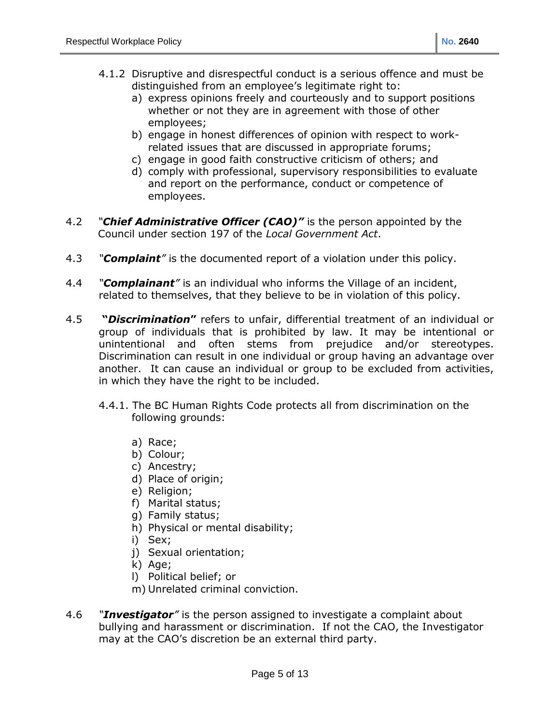- 4.1.2 Disruptive and disrespectful conduct is a serious offence and must be distinguished from an employee's legitimate right to:
	- a) express opinions freely and courteously and to support positions whether or not they are in agreement with those of other employees;
	- b) engage in honest differences of opinion with respect to workrelated issues that are discussed in appropriate forums;
	- c) engage in good faith constructive criticism of others; and
	- d) comply with professional, supervisory responsibilities to evaluate and report on the performance, conduct or competence of employees.
- 4.2 *"Chief Administrative Officer (CAO)"* is the person appointed by the Council under section 197 of the *Local Government Act*.
- 4.3 *"Complaint"* is the documented report of a violation under this policy.
- 4.4 *"Complainant"* is an individual who informs the Village of an incident, related to themselves, that they believe to be in violation of this policy.
- 4.5 **"***Discrimination***"** refers to unfair, differential treatment of an individual or group of individuals that is prohibited by law. It may be intentional or unintentional and often stems from prejudice and/or stereotypes. Discrimination can result in one individual or group having an advantage over another. It can cause an individual or group to be excluded from activities, in which they have the right to be included.
	- 4.4.1. The BC Human Rights Code protects all from discrimination on the following grounds:
		- a) Race;
		- b) Colour;
		- c) Ancestry;
		- d) Place of origin;
		- e) Religion;
		- f) Marital status;
		- g) Family status;
		- h) Physical or mental disability;
		- i) Sex;
		- j) Sexual orientation;
		- k) Age;
		- l) Political belief; or
		- m) Unrelated criminal conviction.
- 4.6 *"Investigator"* is the person assigned to investigate a complaint about bullying and harassment or discrimination. If not the CAO, the Investigator may at the CAO's discretion be an external third party.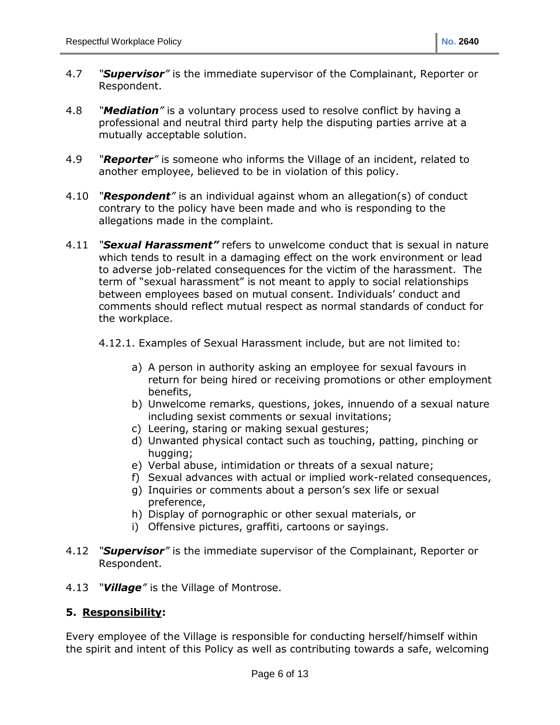- 4.7 *"Supervisor"* is the immediate supervisor of the Complainant, Reporter or Respondent.
- 4.8 *"Mediation"* is a voluntary process used to resolve conflict by having a professional and neutral third party help the disputing parties arrive at a mutually acceptable solution.
- 4.9 *"Reporter"* is someone who informs the Village of an incident, related to another employee, believed to be in violation of this policy.
- 4.10 *"Respondent"* is an individual against whom an allegation(s) of conduct contrary to the policy have been made and who is responding to the allegations made in the complaint.
- 4.11 *"Sexual Harassment"* refers to unwelcome conduct that is sexual in nature which tends to result in a damaging effect on the work environment or lead to adverse job-related consequences for the victim of the harassment. The term of "sexual harassment" is not meant to apply to social relationships between employees based on mutual consent. Individuals' conduct and comments should reflect mutual respect as normal standards of conduct for the workplace.
	- 4.12.1. Examples of Sexual Harassment include, but are not limited to:
		- a) A person in authority asking an employee for sexual favours in return for being hired or receiving promotions or other employment benefits,
		- b) Unwelcome remarks, questions, jokes, innuendo of a sexual nature including sexist comments or sexual invitations;
		- c) Leering, staring or making sexual gestures;
		- d) Unwanted physical contact such as touching, patting, pinching or hugging;
		- e) Verbal abuse, intimidation or threats of a sexual nature;
		- f) Sexual advances with actual or implied work-related consequences,
		- g) Inquiries or comments about a person's sex life or sexual preference,
		- h) Display of pornographic or other sexual materials, or
		- i) Offensive pictures, graffiti, cartoons or sayings.
- 4.12 *"Supervisor"* is the immediate supervisor of the Complainant, Reporter or Respondent.
- 4.13 *"Village"* is the Village of Montrose.

## **5. Responsibility:**

Every employee of the Village is responsible for conducting herself/himself within the spirit and intent of this Policy as well as contributing towards a safe, welcoming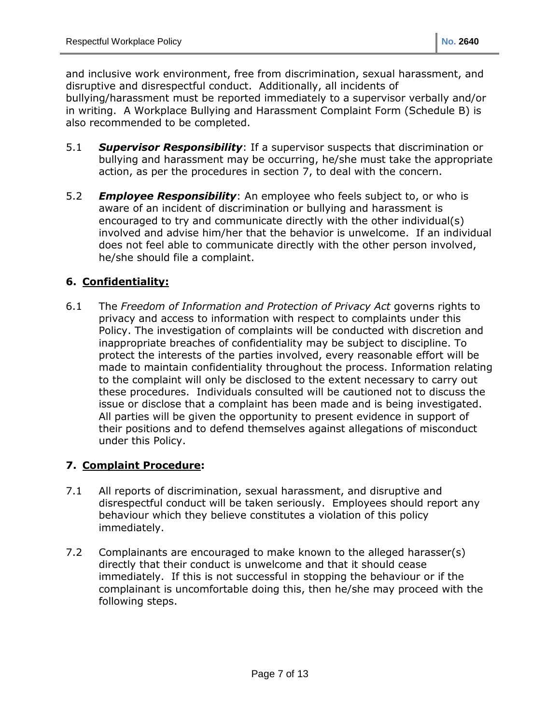and inclusive work environment, free from discrimination, sexual harassment, and disruptive and disrespectful conduct. Additionally, all incidents of bullying/harassment must be reported immediately to a supervisor verbally and/or in writing. A Workplace Bullying and Harassment Complaint Form (Schedule B) is also recommended to be completed.

- 5.1 *Supervisor Responsibility*: If a supervisor suspects that discrimination or bullying and harassment may be occurring, he/she must take the appropriate action, as per the procedures in section 7, to deal with the concern.
- 5.2 *Employee Responsibility*: An employee who feels subject to, or who is aware of an incident of discrimination or bullying and harassment is encouraged to try and communicate directly with the other individual(s) involved and advise him/her that the behavior is unwelcome. If an individual does not feel able to communicate directly with the other person involved, he/she should file a complaint.

# **6. Confidentiality:**

6.1 The *Freedom of Information and Protection of Privacy Act* governs rights to privacy and access to information with respect to complaints under this Policy. The investigation of complaints will be conducted with discretion and inappropriate breaches of confidentiality may be subject to discipline. To protect the interests of the parties involved, every reasonable effort will be made to maintain confidentiality throughout the process. Information relating to the complaint will only be disclosed to the extent necessary to carry out these procedures. Individuals consulted will be cautioned not to discuss the issue or disclose that a complaint has been made and is being investigated. All parties will be given the opportunity to present evidence in support of their positions and to defend themselves against allegations of misconduct under this Policy.

## **7. Complaint Procedure:**

- 7.1 All reports of discrimination, sexual harassment, and disruptive and disrespectful conduct will be taken seriously. Employees should report any behaviour which they believe constitutes a violation of this policy immediately.
- 7.2 Complainants are encouraged to make known to the alleged harasser(s) directly that their conduct is unwelcome and that it should cease immediately. If this is not successful in stopping the behaviour or if the complainant is uncomfortable doing this, then he/she may proceed with the following steps.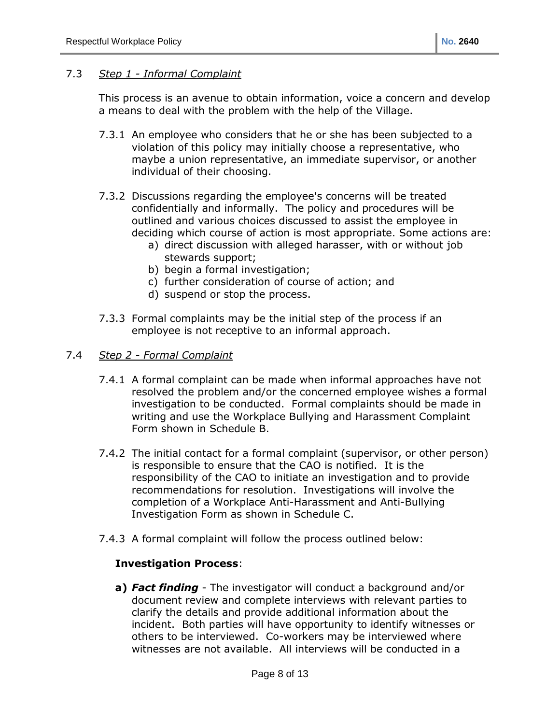#### 7.3 *Step 1 - Informal Complaint*

This process is an avenue to obtain information, voice a concern and develop a means to deal with the problem with the help of the Village.

- 7.3.1 An employee who considers that he or she has been subjected to a violation of this policy may initially choose a representative, who maybe a union representative, an immediate supervisor, or another individual of their choosing.
- 7.3.2 Discussions regarding the employee's concerns will be treated confidentially and informally. The policy and procedures will be outlined and various choices discussed to assist the employee in deciding which course of action is most appropriate. Some actions are:
	- a) direct discussion with alleged harasser, with or without job stewards support;
	- b) begin a formal investigation;
	- c) further consideration of course of action; and
	- d) suspend or stop the process.
- 7.3.3 Formal complaints may be the initial step of the process if an employee is not receptive to an informal approach.
- 7.4 *Step 2 - Formal Complaint*
	- 7.4.1 A formal complaint can be made when informal approaches have not resolved the problem and/or the concerned employee wishes a formal investigation to be conducted. Formal complaints should be made in writing and use the Workplace Bullying and Harassment Complaint Form shown in Schedule B.
	- 7.4.2 The initial contact for a formal complaint (supervisor, or other person) is responsible to ensure that the CAO is notified. It is the responsibility of the CAO to initiate an investigation and to provide recommendations for resolution. Investigations will involve the completion of a Workplace Anti-Harassment and Anti-Bullying Investigation Form as shown in Schedule C.
	- 7.4.3 A formal complaint will follow the process outlined below:

#### **Investigation Process**:

**a)** *Fact finding* - The investigator will conduct a background and/or document review and complete interviews with relevant parties to clarify the details and provide additional information about the incident. Both parties will have opportunity to identify witnesses or others to be interviewed. Co-workers may be interviewed where witnesses are not available. All interviews will be conducted in a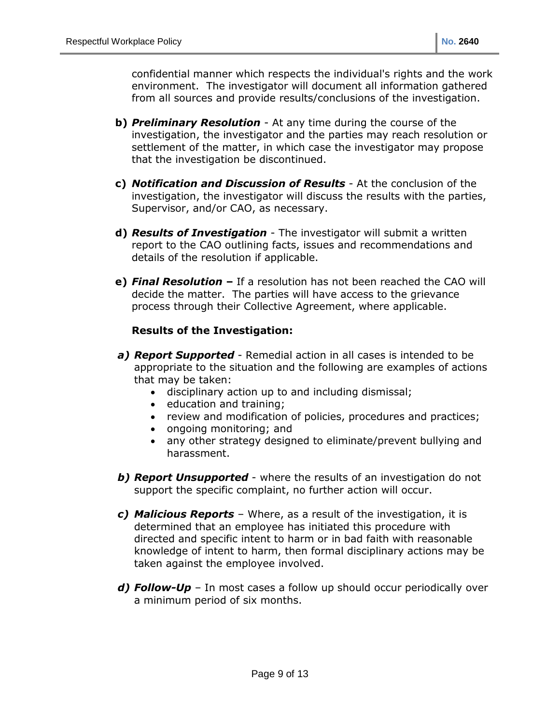confidential manner which respects the individual's rights and the work environment. The investigator will document all information gathered from all sources and provide results/conclusions of the investigation.

- **b)** *Preliminary Resolution* At any time during the course of the investigation, the investigator and the parties may reach resolution or settlement of the matter, in which case the investigator may propose that the investigation be discontinued.
- **c)** *Notification and Discussion of Results* At the conclusion of the investigation, the investigator will discuss the results with the parties, Supervisor, and/or CAO, as necessary.
- **d)** *Results of Investigation* The investigator will submit a written report to the CAO outlining facts, issues and recommendations and details of the resolution if applicable.
- **e)** *Final Resolution* **–** If a resolution has not been reached the CAO will decide the matter. The parties will have access to the grievance process through their Collective Agreement, where applicable.

#### **Results of the Investigation:**

- *a) Report Supported* Remedial action in all cases is intended to be appropriate to the situation and the following are examples of actions that may be taken:
	- disciplinary action up to and including dismissal;
	- education and training;
	- review and modification of policies, procedures and practices;
	- ongoing monitoring; and
	- any other strategy designed to eliminate/prevent bullying and harassment.
- *b) Report Unsupported* where the results of an investigation do not support the specific complaint, no further action will occur.
- *c) Malicious Reports* Where, as a result of the investigation, it is determined that an employee has initiated this procedure with directed and specific intent to harm or in bad faith with reasonable knowledge of intent to harm, then formal disciplinary actions may be taken against the employee involved.
- *d) Follow-Up* In most cases a follow up should occur periodically over a minimum period of six months.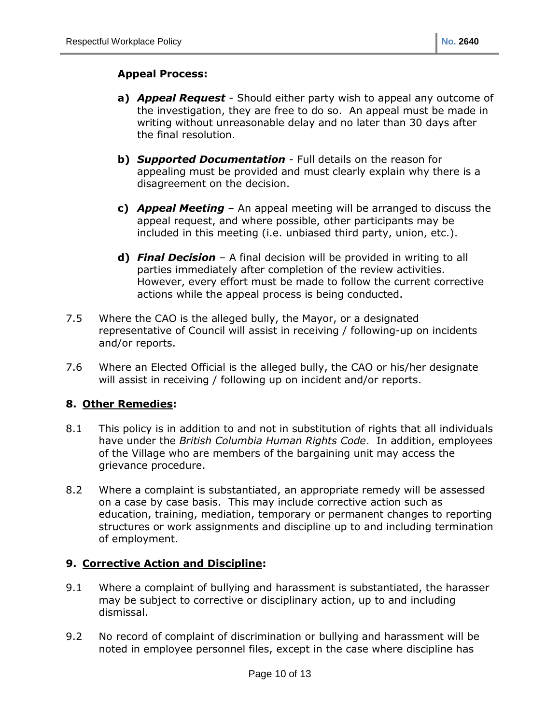## **Appeal Process:**

- **a)** *Appeal Request* Should either party wish to appeal any outcome of the investigation, they are free to do so. An appeal must be made in writing without unreasonable delay and no later than 30 days after the final resolution.
- **b)** *Supported Documentation* Full details on the reason for appealing must be provided and must clearly explain why there is a disagreement on the decision.
- **c)** *Appeal Meeting* An appeal meeting will be arranged to discuss the appeal request, and where possible, other participants may be included in this meeting (i.e. unbiased third party, union, etc.).
- **d)** *Final Decision* A final decision will be provided in writing to all parties immediately after completion of the review activities. However, every effort must be made to follow the current corrective actions while the appeal process is being conducted.
- 7.5 Where the CAO is the alleged bully, the Mayor, or a designated representative of Council will assist in receiving / following-up on incidents and/or reports.
- 7.6 Where an Elected Official is the alleged bully, the CAO or his/her designate will assist in receiving / following up on incident and/or reports.

## **8. Other Remedies:**

- 8.1 This policy is in addition to and not in substitution of rights that all individuals have under the *British Columbia Human Rights Code*. In addition, employees of the Village who are members of the bargaining unit may access the grievance procedure.
- 8.2 Where a complaint is substantiated, an appropriate remedy will be assessed on a case by case basis. This may include corrective action such as education, training, mediation, temporary or permanent changes to reporting structures or work assignments and discipline up to and including termination of employment.

# **9. Corrective Action and Discipline:**

- 9.1 Where a complaint of bullying and harassment is substantiated, the harasser may be subject to corrective or disciplinary action, up to and including dismissal.
- 9.2 No record of complaint of discrimination or bullying and harassment will be noted in employee personnel files, except in the case where discipline has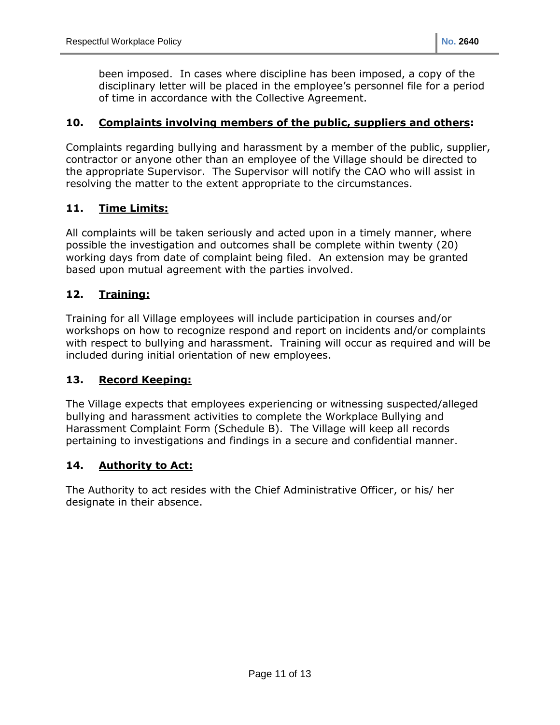been imposed. In cases where discipline has been imposed, a copy of the disciplinary letter will be placed in the employee's personnel file for a period of time in accordance with the Collective Agreement.

#### **10. Complaints involving members of the public, suppliers and others:**

Complaints regarding bullying and harassment by a member of the public, supplier, contractor or anyone other than an employee of the Village should be directed to the appropriate Supervisor. The Supervisor will notify the CAO who will assist in resolving the matter to the extent appropriate to the circumstances.

## **11. Time Limits:**

All complaints will be taken seriously and acted upon in a timely manner, where possible the investigation and outcomes shall be complete within twenty (20) working days from date of complaint being filed. An extension may be granted based upon mutual agreement with the parties involved.

## **12. Training:**

Training for all Village employees will include participation in courses and/or workshops on how to recognize respond and report on incidents and/or complaints with respect to bullying and harassment. Training will occur as required and will be included during initial orientation of new employees.

## **13. Record Keeping:**

The Village expects that employees experiencing or witnessing suspected/alleged bullying and harassment activities to complete the Workplace Bullying and Harassment Complaint Form (Schedule B). The Village will keep all records pertaining to investigations and findings in a secure and confidential manner.

## **14. Authority to Act:**

The Authority to act resides with the Chief Administrative Officer, or his/ her designate in their absence.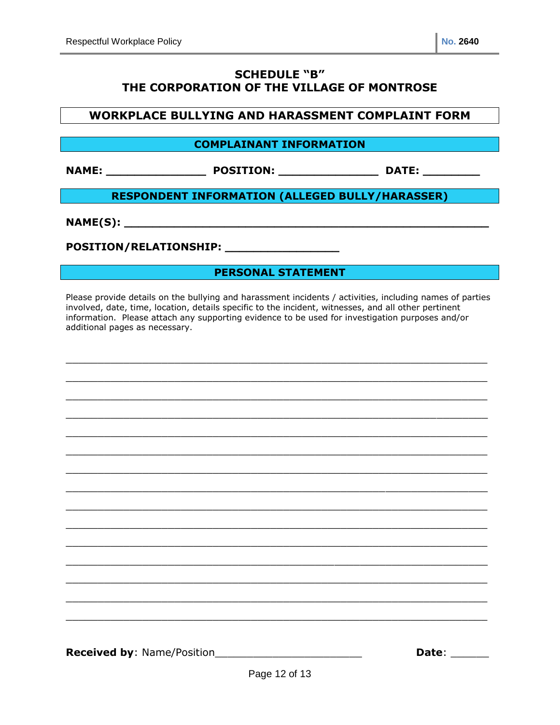# **SCHEDULE "B" THE CORPORATION OF THE VILLAGE OF MONTROSE**

#### **WORKPLACE BULLYING AND HARASSMENT COMPLAINT FORM**

#### **COMPLAINANT INFORMATION**

**NAME: \_\_\_\_\_\_\_\_\_\_\_\_\_\_ POSITION: \_\_\_\_\_\_\_\_\_\_\_\_\_\_ DATE: \_\_\_\_\_\_\_\_**

#### **RESPONDENT INFORMATION (ALLEGED BULLY/HARASSER)**

**NAME(S):**  $\blacksquare$ 

**POSITION/RELATIONSHIP: \_\_\_\_\_\_\_\_\_\_\_\_\_\_\_\_**

**PERSONAL STATEMENT**

Please provide details on the bullying and harassment incidents / activities, including names of parties involved, date, time, location, details specific to the incident, witnesses, and all other pertinent information. Please attach any supporting evidence to be used for investigation purposes and/or additional pages as necessary.